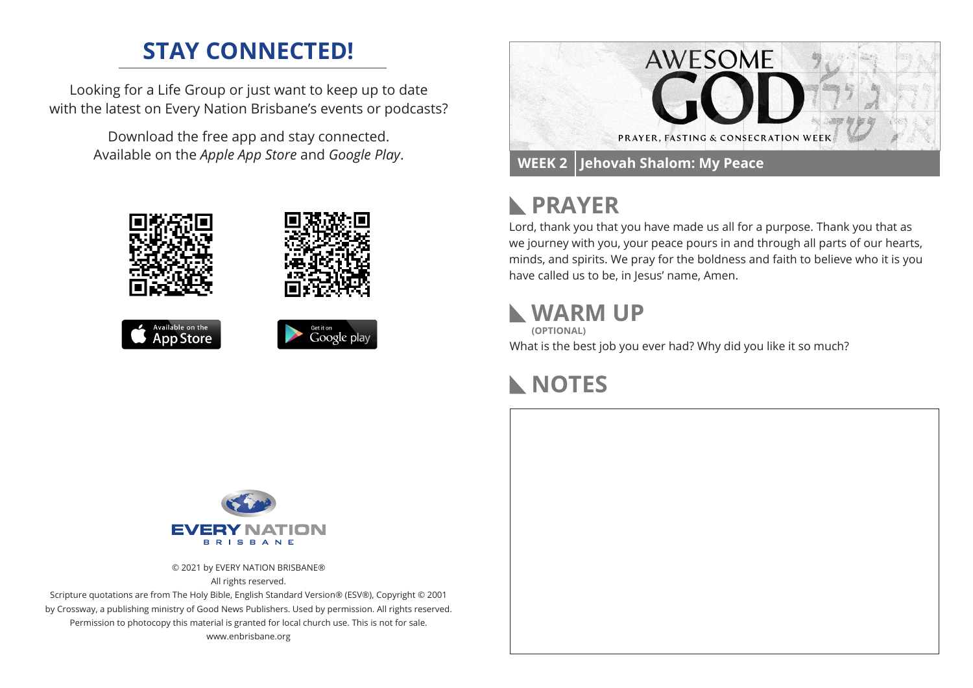## **STAY CONNECTED!**

Looking for a Life Group or just want to keep up to date with the latest on Every Nation Brisbane's events or podcasts?

> Download the free app and stay connected. Available on the *Apple App Store* and *Google Play*.





# **PRAYER**

Lord, thank you that you have made us all for a purpose. Thank you that as we journey with you, your peace pours in and through all parts of our hearts, minds, and spirits. We pray for the boldness and faith to believe who it is you have called us to be, in Jesus' name, Amen.

#### **WARM UP**

**(OPTIONAL)**

What is the best job you ever had? Why did you like it so much?

### **NOTES**



© 2021 by EVERY NATION BRISBANE® All rights reserved.

Scripture quotations are from The Holy Bible, English Standard Version® (ESV®), Copyright © 2001 by Crossway, a publishing ministry of Good News Publishers. Used by permission. All rights reserved. Permission to photocopy this material is granted for local church use. This is not for sale. www.enbrisbane.org